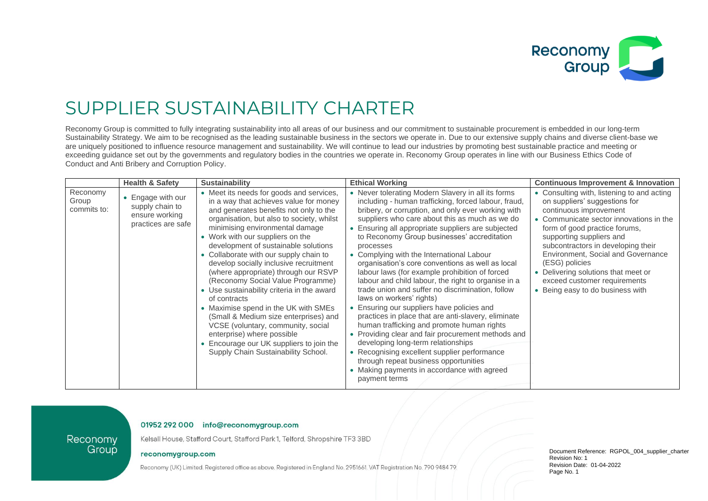

## SUPPLIER SUSTAINABILITY CHARTER

Reconomy Group is committed to fully integrating sustainability into all areas of our business and our commitment to sustainable procurement is embedded in our long-term Sustainability Strategy. We aim to be recognised as the leading sustainable business in the sectors we operate in. Due to our extensive supply chains and diverse client-base we are uniquely positioned to influence resource management and sustainability. We will continue to lead our industries by promoting best sustainable practice and meeting or exceeding guidance set out by the governments and regulatory bodies in the countries we operate in. Reconomy Group operates in line with our Business Ethics Code of Conduct and Anti Bribery and Corruption Policy.

|                                  | <b>Health &amp; Safety</b>                                                   | Sustainability                                                                                                                                                                                                                                                                                                                                                                                                                                                                                                                                                                                                                                                                                                                                                | <b>Ethical Working</b>                                                                                                                                                                                                                                                                                                                                                                                                                                                                                                                                                                                                                                                                                                                                                                                                                                                                                                                                                                                                               | <b>Continuous Improvement &amp; Innovation</b>                                                                                                                                                                                                                                                                                                                                                                         |
|----------------------------------|------------------------------------------------------------------------------|---------------------------------------------------------------------------------------------------------------------------------------------------------------------------------------------------------------------------------------------------------------------------------------------------------------------------------------------------------------------------------------------------------------------------------------------------------------------------------------------------------------------------------------------------------------------------------------------------------------------------------------------------------------------------------------------------------------------------------------------------------------|--------------------------------------------------------------------------------------------------------------------------------------------------------------------------------------------------------------------------------------------------------------------------------------------------------------------------------------------------------------------------------------------------------------------------------------------------------------------------------------------------------------------------------------------------------------------------------------------------------------------------------------------------------------------------------------------------------------------------------------------------------------------------------------------------------------------------------------------------------------------------------------------------------------------------------------------------------------------------------------------------------------------------------------|------------------------------------------------------------------------------------------------------------------------------------------------------------------------------------------------------------------------------------------------------------------------------------------------------------------------------------------------------------------------------------------------------------------------|
| Reconomy<br>Group<br>commits to: | • Engage with our<br>supply chain to<br>ensure working<br>practices are safe | • Meet its needs for goods and services,<br>in a way that achieves value for money<br>and generates benefits not only to the<br>organisation, but also to society, whilst<br>minimising environmental damage<br>• Work with our suppliers on the<br>development of sustainable solutions<br>• Collaborate with our supply chain to<br>develop socially inclusive recruitment<br>(where appropriate) through our RSVP<br>(Reconomy Social Value Programme)<br>• Use sustainability criteria in the award<br>of contracts<br>• Maximise spend in the UK with SMEs<br>(Small & Medium size enterprises) and<br>VCSE (voluntary, community, social<br>enterprise) where possible<br>Encourage our UK suppliers to join the<br>Supply Chain Sustainability School. | • Never tolerating Modern Slavery in all its forms<br>including - human trafficking, forced labour, fraud,<br>bribery, or corruption, and only ever working with<br>suppliers who care about this as much as we do<br>• Ensuring all appropriate suppliers are subjected<br>to Reconomy Group businesses' accreditation<br>processes<br>• Complying with the International Labour<br>organisation's core conventions as well as local<br>labour laws (for example prohibition of forced<br>labour and child labour, the right to organise in a<br>trade union and suffer no discrimination, follow<br>laws on workers' rights)<br>Ensuring our suppliers have policies and<br>practices in place that are anti-slavery, eliminate<br>human trafficking and promote human rights<br>• Providing clear and fair procurement methods and<br>developing long-term relationships<br>• Recognising excellent supplier performance<br>through repeat business opportunities<br>• Making payments in accordance with agreed<br>payment terms | • Consulting with, listening to and acting<br>on suppliers' suggestions for<br>continuous improvement<br>• Communicate sector innovations in the<br>form of good practice forums,<br>supporting suppliers and<br>subcontractors in developing their<br>Environment, Social and Governance<br>(ESG) policies<br>• Delivering solutions that meet or<br>exceed customer requirements<br>• Being easy to do business with |

## 01952 292 000 info@reconomygroup.com

Kelsall House, Stafford Court, Stafford Park 1, Telford, Shropshire TF3 3BD

## reconomygroup.com

Reconomy

Group

Reconomy (UK) Limited. Registered office as above. Registered in England No. 2951661. VAT Registration No. 790 9484 79.

Document Reference: RGPOL\_004\_supplier\_charter Revision No: 1 Revision Date: 01-04-2022 Page No. 1